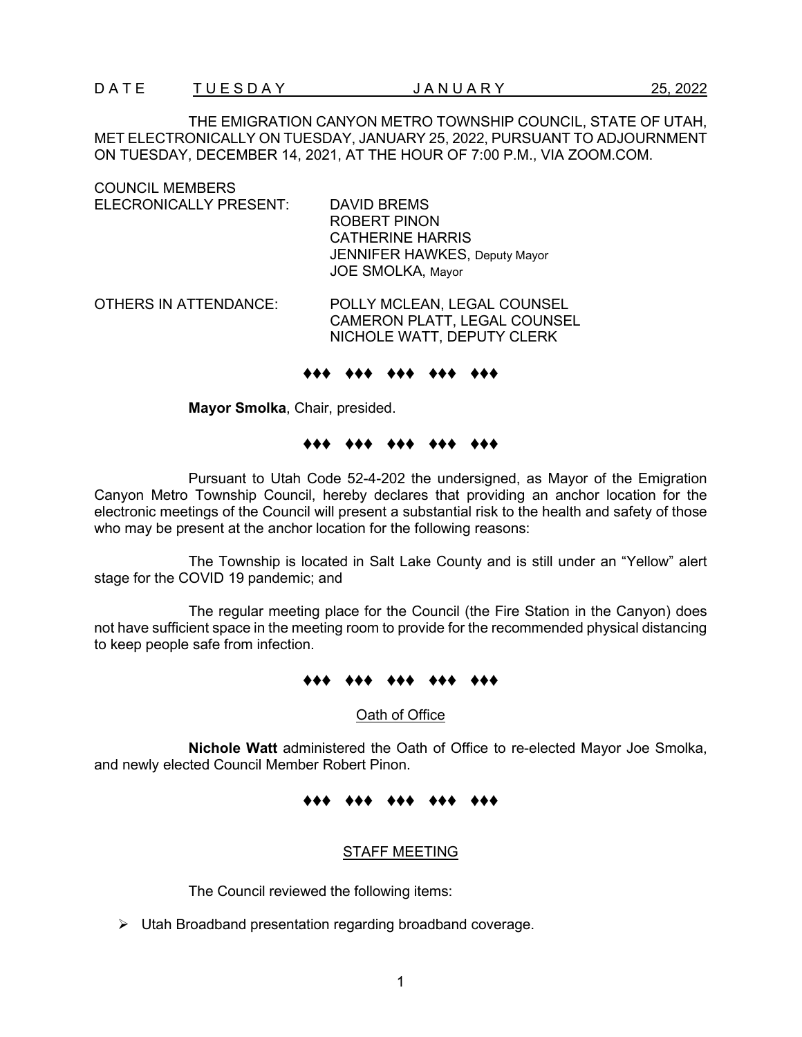THE EMIGRATION CANYON METRO TOWNSHIP COUNCIL, STATE OF UTAH, MET ELECTRONICALLY ON TUESDAY, JANUARY 25, 2022, PURSUANT TO ADJOURNMENT ON TUESDAY, DECEMBER 14, 2021, AT THE HOUR OF 7:00 P.M., VIA ZOOM.COM.

| <b>COUNCIL MEMBERS</b>       |                                                                                                                                   |
|------------------------------|-----------------------------------------------------------------------------------------------------------------------------------|
| ELECRONICALLY PRESENT:       | DAVID BREMS<br><b>ROBERT PINON</b><br><b>CATHERINE HARRIS</b><br><b>JENNIFER HAWKES, Deputy Mayor</b><br><b>JOE SMOLKA, Mayor</b> |
| <b>OTHERS IN ATTENDANCE:</b> | POLLY MCLEAN, LEGAL COUNSEL<br>CAMERON PLATT, LEGAL COUNSEL<br>NICHOLE WATT, DEPUTY CLERK                                         |

#### ♦♦♦ ♦♦♦ ♦♦♦ ♦♦♦ ♦♦♦

**Mayor Smolka**, Chair, presided.

# ♦♦♦ ♦♦♦ ♦♦♦ ♦♦♦ ♦♦♦

Pursuant to Utah Code 52-4-202 the undersigned, as Mayor of the Emigration Canyon Metro Township Council, hereby declares that providing an anchor location for the electronic meetings of the Council will present a substantial risk to the health and safety of those who may be present at the anchor location for the following reasons:

The Township is located in Salt Lake County and is still under an "Yellow" alert stage for the COVID 19 pandemic; and

The regular meeting place for the Council (the Fire Station in the Canyon) does not have sufficient space in the meeting room to provide for the recommended physical distancing to keep people safe from infection.

#### ♦♦♦ ♦♦♦ ♦♦♦ ♦♦♦ ♦♦♦

Oath of Office

**Nichole Watt** administered the Oath of Office to re-elected Mayor Joe Smolka, and newly elected Council Member Robert Pinon.

#### ♦♦♦ ♦♦♦ ♦♦♦ ♦♦♦ ♦♦♦

#### STAFF MEETING

The Council reviewed the following items:

Utah Broadband presentation regarding broadband coverage.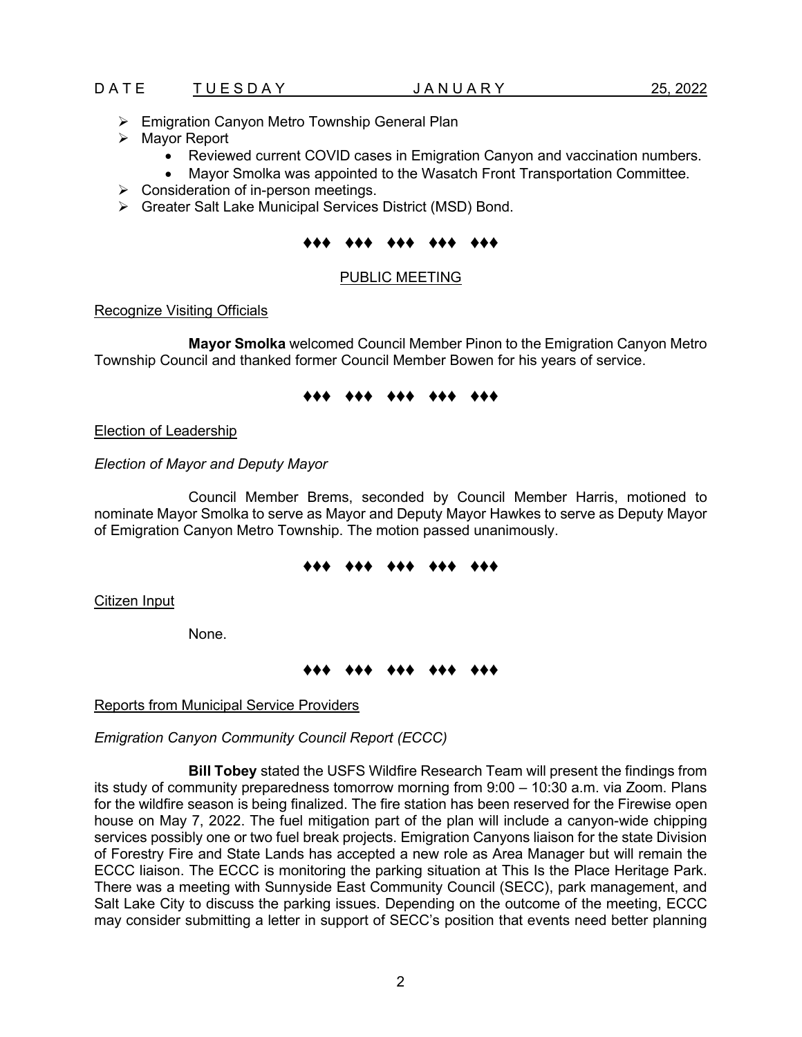- Emigration Canyon Metro Township General Plan
- $\triangleright$  Mayor Report
	- Reviewed current COVID cases in Emigration Canyon and vaccination numbers.
	- Mayor Smolka was appointed to the Wasatch Front Transportation Committee.
- $\triangleright$  Consideration of in-person meetings.
- Greater Salt Lake Municipal Services District (MSD) Bond.

### ♦♦♦ ♦♦♦ ♦♦♦ ♦♦♦ ♦♦♦

### PUBLIC MEETING

#### Recognize Visiting Officials

**Mayor Smolka** welcomed Council Member Pinon to the Emigration Canyon Metro Township Council and thanked former Council Member Bowen for his years of service.

# ♦♦♦ ♦♦♦ ♦♦♦ ♦♦♦ ♦♦♦

Election of Leadership

*Election of Mayor and Deputy Mayor*

Council Member Brems, seconded by Council Member Harris, motioned to nominate Mayor Smolka to serve as Mayor and Deputy Mayor Hawkes to serve as Deputy Mayor of Emigration Canyon Metro Township. The motion passed unanimously.

# ♦♦♦ ♦♦♦ ♦♦♦ ♦♦♦ ♦♦♦

Citizen Input

None.

# ♦♦♦ ♦♦♦ ♦♦♦ ♦♦♦ ♦♦♦

Reports from Municipal Service Providers

*Emigration Canyon Community Council Report (ECCC)*

**Bill Tobey** stated the USFS Wildfire Research Team will present the findings from its study of community preparedness tomorrow morning from 9:00 – 10:30 a.m. via Zoom. Plans for the wildfire season is being finalized. The fire station has been reserved for the Firewise open house on May 7, 2022. The fuel mitigation part of the plan will include a canyon-wide chipping services possibly one or two fuel break projects. Emigration Canyons liaison for the state Division of Forestry Fire and State Lands has accepted a new role as Area Manager but will remain the ECCC liaison. The ECCC is monitoring the parking situation at This Is the Place Heritage Park. There was a meeting with Sunnyside East Community Council (SECC), park management, and Salt Lake City to discuss the parking issues. Depending on the outcome of the meeting, ECCC may consider submitting a letter in support of SECC's position that events need better planning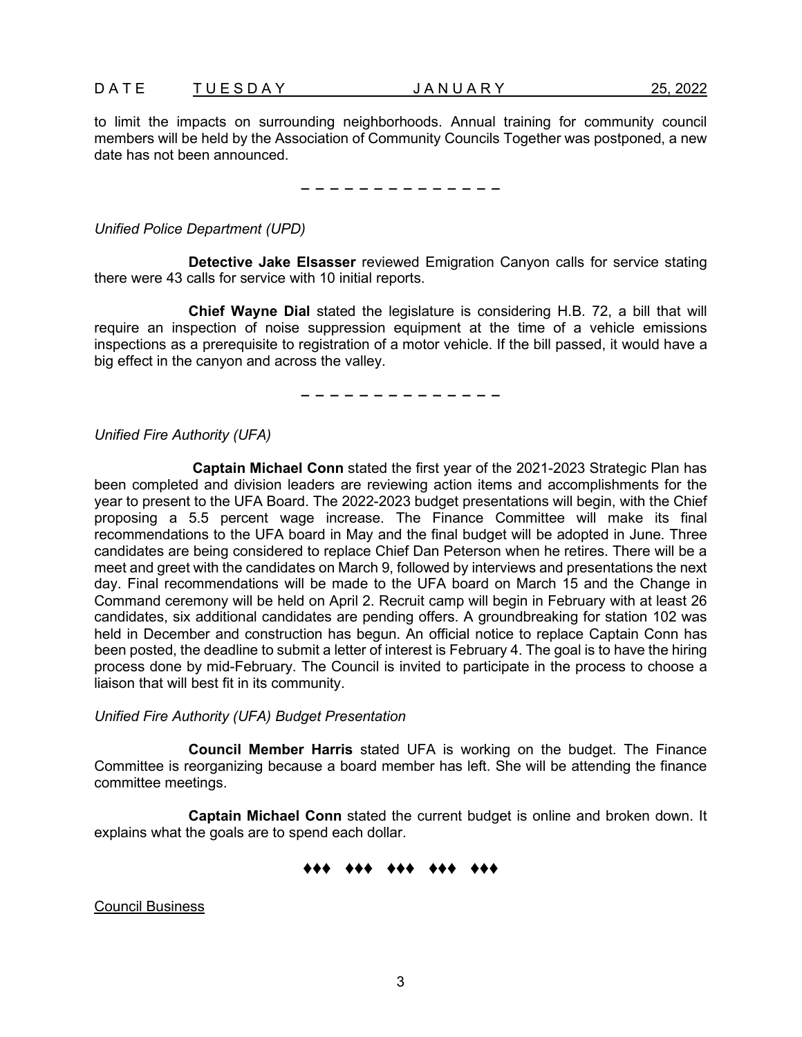to limit the impacts on surrounding neighborhoods. Annual training for community council members will be held by the Association of Community Councils Together was postponed, a new date has not been announced.

− − − − − − − − − − − − − −

*Unified Police Department (UPD)* 

**Detective Jake Elsasser** reviewed Emigration Canyon calls for service stating there were 43 calls for service with 10 initial reports.

**Chief Wayne Dial** stated the legislature is considering H.B. 72, a bill that will require an inspection of noise suppression equipment at the time of a vehicle emissions inspections as a prerequisite to registration of a motor vehicle. If the bill passed, it would have a big effect in the canyon and across the valley.

− − − − − − − − − − − − − −

*Unified Fire Authority (UFA)*

**Captain Michael Conn** stated the first year of the 2021-2023 Strategic Plan has been completed and division leaders are reviewing action items and accomplishments for the year to present to the UFA Board. The 2022-2023 budget presentations will begin, with the Chief proposing a 5.5 percent wage increase. The Finance Committee will make its final recommendations to the UFA board in May and the final budget will be adopted in June. Three candidates are being considered to replace Chief Dan Peterson when he retires. There will be a meet and greet with the candidates on March 9, followed by interviews and presentations the next day. Final recommendations will be made to the UFA board on March 15 and the Change in Command ceremony will be held on April 2. Recruit camp will begin in February with at least 26 candidates, six additional candidates are pending offers. A groundbreaking for station 102 was held in December and construction has begun. An official notice to replace Captain Conn has been posted, the deadline to submit a letter of interest is February 4. The goal is to have the hiring process done by mid-February. The Council is invited to participate in the process to choose a liaison that will best fit in its community.

*Unified Fire Authority (UFA) Budget Presentation*

**Council Member Harris** stated UFA is working on the budget. The Finance Committee is reorganizing because a board member has left. She will be attending the finance committee meetings.

**Captain Michael Conn** stated the current budget is online and broken down. It explains what the goals are to spend each dollar.

# ♦♦♦ ♦♦♦ ♦♦♦ ♦♦♦ ♦♦♦

Council Business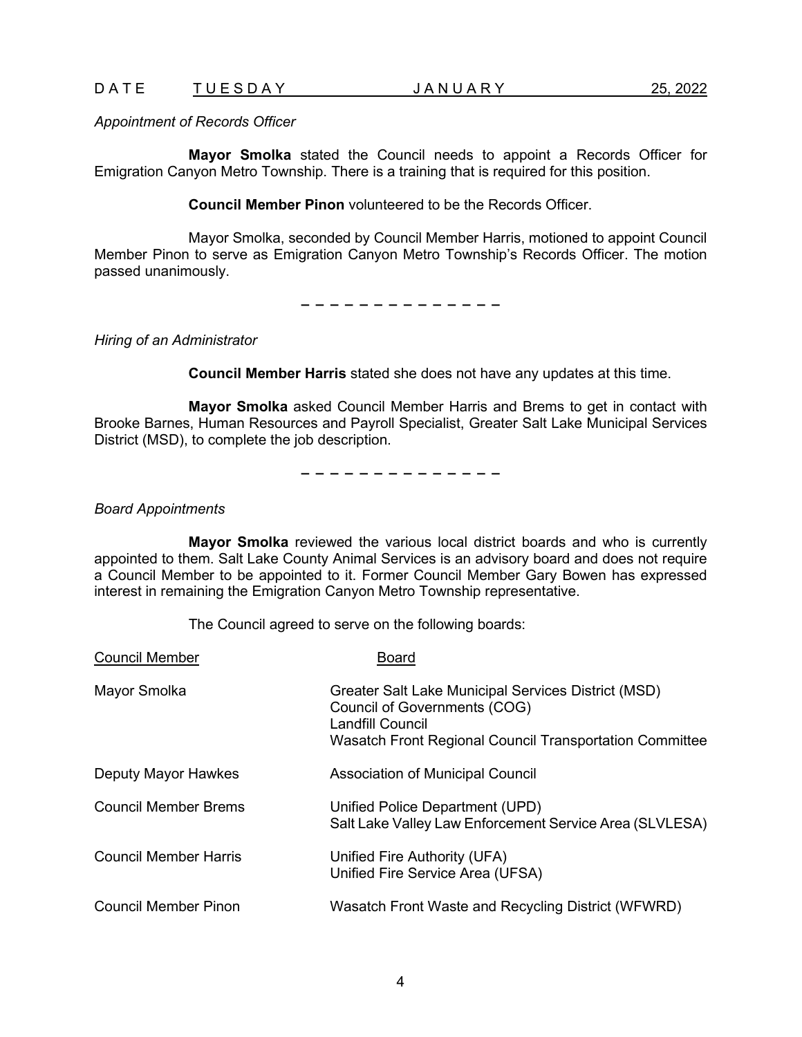### D A T E T U E S D A Y Y A N U A R Y Y A Y A T U E S D A Y Z5, 2022

*Appointment of Records Officer*

**Mayor Smolka** stated the Council needs to appoint a Records Officer for Emigration Canyon Metro Township. There is a training that is required for this position.

**Council Member Pinon** volunteered to be the Records Officer.

Mayor Smolka, seconded by Council Member Harris, motioned to appoint Council Member Pinon to serve as Emigration Canyon Metro Township's Records Officer. The motion passed unanimously.

− − − − − − − − − − − − − −

*Hiring of an Administrator*

**Council Member Harris** stated she does not have any updates at this time.

**Mayor Smolka** asked Council Member Harris and Brems to get in contact with Brooke Barnes, Human Resources and Payroll Specialist, Greater Salt Lake Municipal Services District (MSD), to complete the job description.

− − − − − − − − − − − − − −

*Board Appointments*

**Mayor Smolka** reviewed the various local district boards and who is currently appointed to them. Salt Lake County Animal Services is an advisory board and does not require a Council Member to be appointed to it. Former Council Member Gary Bowen has expressed interest in remaining the Emigration Canyon Metro Township representative.

The Council agreed to serve on the following boards:

| <b>Council Member</b>       | Board                                                                                                                                                              |
|-----------------------------|--------------------------------------------------------------------------------------------------------------------------------------------------------------------|
| Mayor Smolka                | Greater Salt Lake Municipal Services District (MSD)<br>Council of Governments (COG)<br>Landfill Council<br>Wasatch Front Regional Council Transportation Committee |
| Deputy Mayor Hawkes         | Association of Municipal Council                                                                                                                                   |
| <b>Council Member Brems</b> | Unified Police Department (UPD)<br>Salt Lake Valley Law Enforcement Service Area (SLVLESA)                                                                         |
| Council Member Harris       | Unified Fire Authority (UFA)<br>Unified Fire Service Area (UFSA)                                                                                                   |
| Council Member Pinon        | Wasatch Front Waste and Recycling District (WFWRD)                                                                                                                 |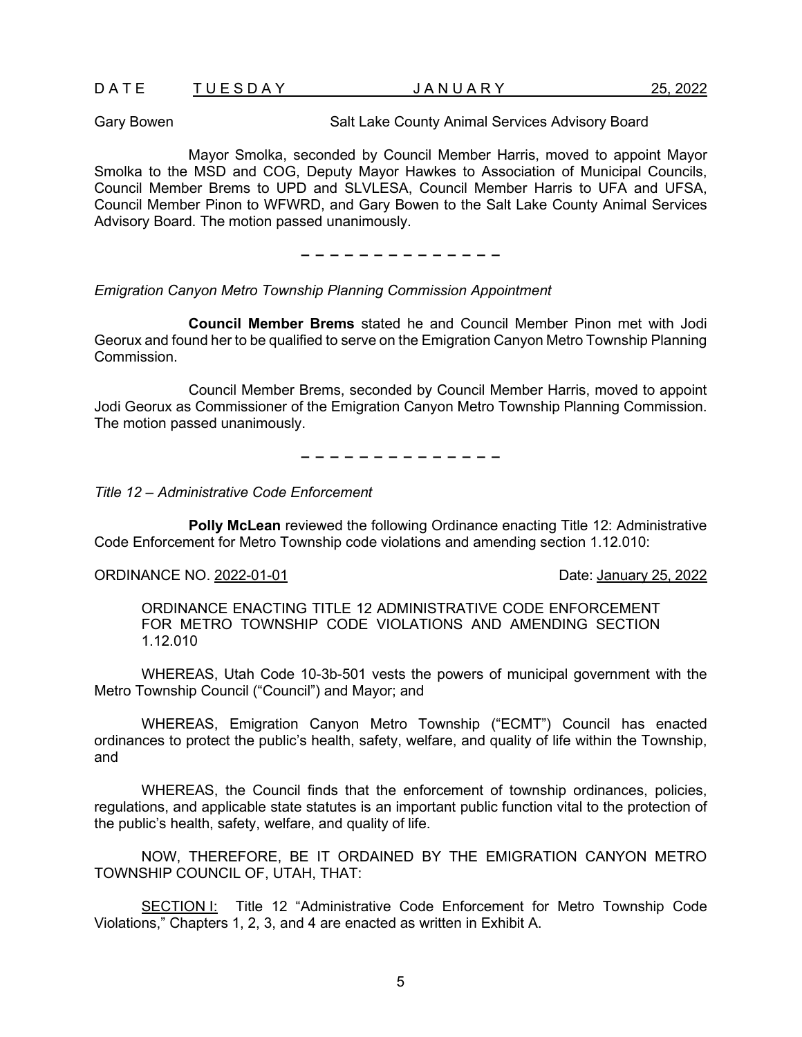|--|

Gary Bowen **Salt Lake County Animal Services Advisory Board** 

Mayor Smolka, seconded by Council Member Harris, moved to appoint Mayor Smolka to the MSD and COG, Deputy Mayor Hawkes to Association of Municipal Councils, Council Member Brems to UPD and SLVLESA, Council Member Harris to UFA and UFSA, Council Member Pinon to WFWRD, and Gary Bowen to the Salt Lake County Animal Services Advisory Board. The motion passed unanimously.

− − − − − − − − − − − − − −

*Emigration Canyon Metro Township Planning Commission Appointment* 

**Council Member Brems** stated he and Council Member Pinon met with Jodi Georux and found her to be qualified to serve on the Emigration Canyon Metro Township Planning **Commission** 

Council Member Brems, seconded by Council Member Harris, moved to appoint Jodi Georux as Commissioner of the Emigration Canyon Metro Township Planning Commission. The motion passed unanimously.

− − − − − − − − − − − − − −

*Title 12 – Administrative Code Enforcement*

**Polly McLean** reviewed the following Ordinance enacting Title 12: Administrative Code Enforcement for Metro Township code violations and amending section 1.12.010:

#### ORDINANCE NO. 2022-01-01 **Date:** January 25, 2022

ORDINANCE ENACTING TITLE 12 ADMINISTRATIVE CODE ENFORCEMENT FOR METRO TOWNSHIP CODE VIOLATIONS AND AMENDING SECTION 1.12.010

WHEREAS, Utah Code 10-3b-501 vests the powers of municipal government with the Metro Township Council ("Council") and Mayor; and

WHEREAS, Emigration Canyon Metro Township ("ECMT") Council has enacted ordinances to protect the public's health, safety, welfare, and quality of life within the Township, and

WHEREAS, the Council finds that the enforcement of township ordinances, policies, regulations, and applicable state statutes is an important public function vital to the protection of the public's health, safety, welfare, and quality of life.

NOW, THEREFORE, BE IT ORDAINED BY THE EMIGRATION CANYON METRO TOWNSHIP COUNCIL OF, UTAH, THAT:

SECTION I: Title 12 "Administrative Code Enforcement for Metro Township Code Violations," Chapters 1, 2, 3, and 4 are enacted as written in Exhibit A.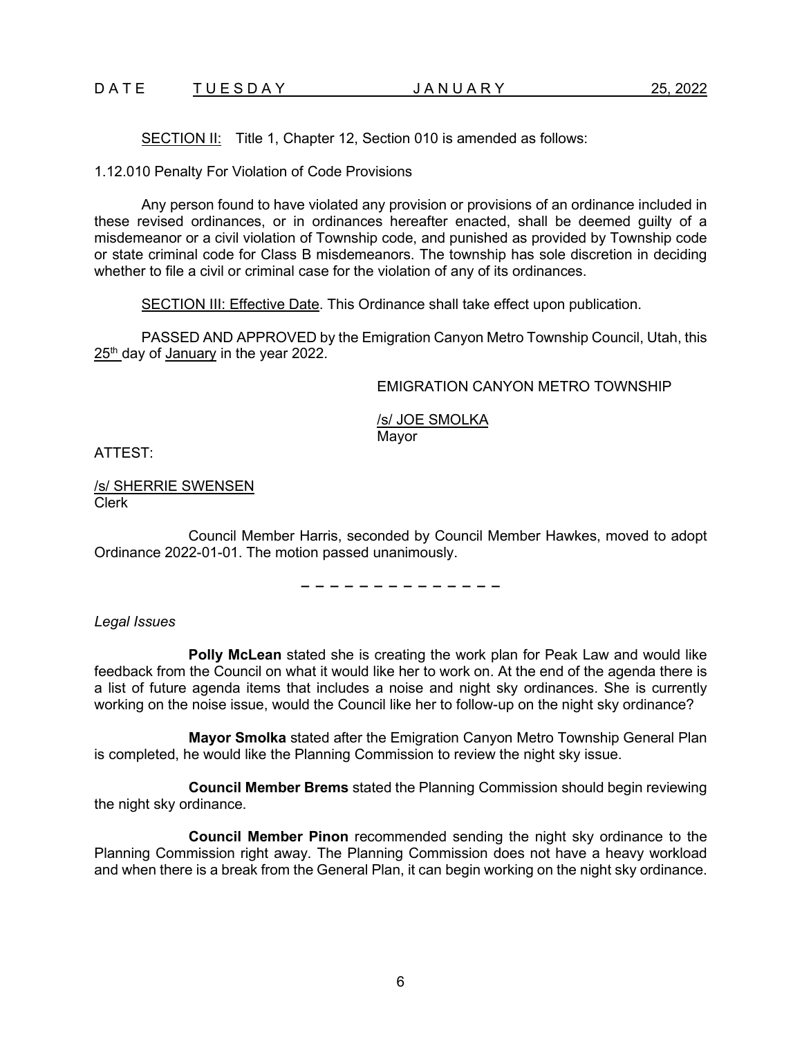### D A T E T U E S D A Y  $\overline{X}$  J A N U A R Y 25, 2022

SECTION II: Title 1, Chapter 12, Section 010 is amended as follows:

1.12.010 Penalty For Violation of Code Provisions

Any person found to have violated any provision or provisions of an ordinance included in these revised ordinances, or in ordinances hereafter enacted, shall be deemed guilty of a misdemeanor or a civil violation of Township code, and punished as provided by Township code or state criminal code for Class B misdemeanors. The township has sole discretion in deciding whether to file a civil or criminal case for the violation of any of its ordinances.

SECTION III: Effective Date. This Ordinance shall take effect upon publication.

PASSED AND APPROVED by the Emigration Canyon Metro Township Council, Utah, this 25<sup>th</sup> day of January in the year 2022.

EMIGRATION CANYON METRO TOWNSHIP

/s/ JOE SMOLKA Mayor

ATTEST:

/s/ SHERRIE SWENSEN Clerk

Council Member Harris, seconded by Council Member Hawkes, moved to adopt Ordinance 2022-01-01. The motion passed unanimously.

− − − − − − − − − − − − − −

*Legal Issues*

**Polly McLean** stated she is creating the work plan for Peak Law and would like feedback from the Council on what it would like her to work on. At the end of the agenda there is a list of future agenda items that includes a noise and night sky ordinances. She is currently working on the noise issue, would the Council like her to follow-up on the night sky ordinance?

**Mayor Smolka** stated after the Emigration Canyon Metro Township General Plan is completed, he would like the Planning Commission to review the night sky issue.

**Council Member Brems** stated the Planning Commission should begin reviewing the night sky ordinance.

**Council Member Pinon** recommended sending the night sky ordinance to the Planning Commission right away. The Planning Commission does not have a heavy workload and when there is a break from the General Plan, it can begin working on the night sky ordinance.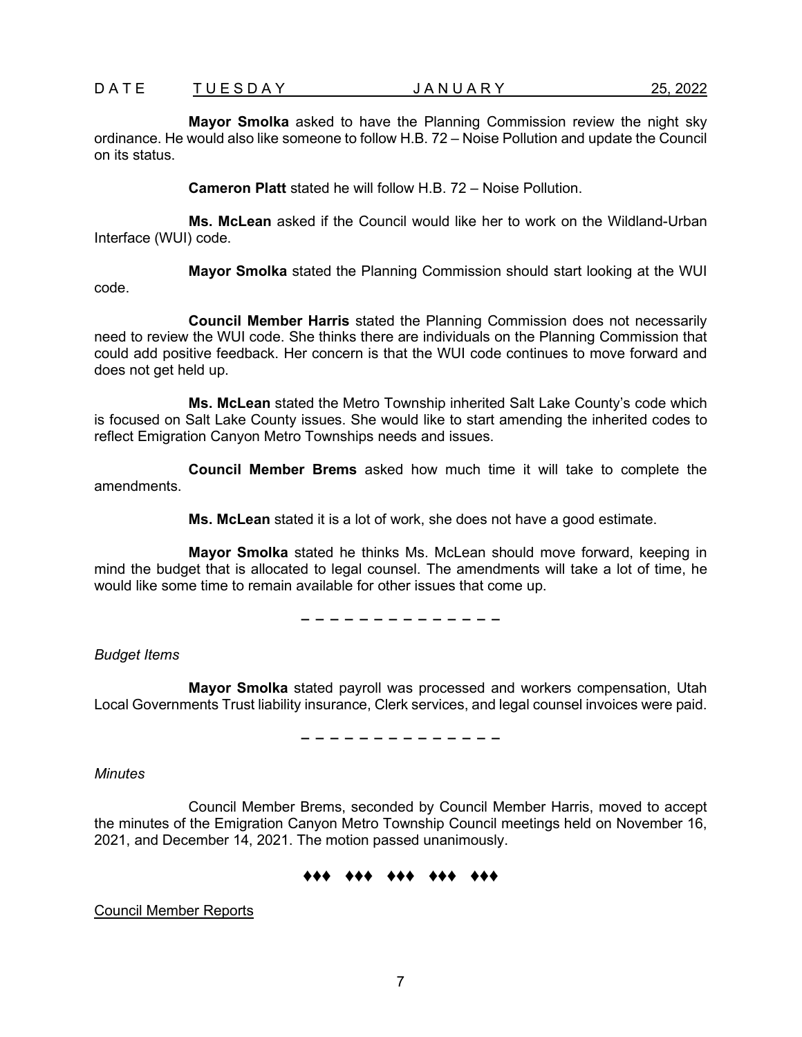**Mayor Smolka** asked to have the Planning Commission review the night sky ordinance. He would also like someone to follow H.B. 72 – Noise Pollution and update the Council on its status.

**Cameron Platt** stated he will follow H.B. 72 – Noise Pollution.

**Ms. McLean** asked if the Council would like her to work on the Wildland-Urban Interface (WUI) code.

**Mayor Smolka** stated the Planning Commission should start looking at the WUI code.

**Council Member Harris** stated the Planning Commission does not necessarily need to review the WUI code. She thinks there are individuals on the Planning Commission that could add positive feedback. Her concern is that the WUI code continues to move forward and does not get held up.

**Ms. McLean** stated the Metro Township inherited Salt Lake County's code which is focused on Salt Lake County issues. She would like to start amending the inherited codes to reflect Emigration Canyon Metro Townships needs and issues.

**Council Member Brems** asked how much time it will take to complete the amendments.

**Ms. McLean** stated it is a lot of work, she does not have a good estimate.

**Mayor Smolka** stated he thinks Ms. McLean should move forward, keeping in mind the budget that is allocated to legal counsel. The amendments will take a lot of time, he would like some time to remain available for other issues that come up.

− − − − − − − − − − − − − −

*Budget Items*

**Mayor Smolka** stated payroll was processed and workers compensation, Utah Local Governments Trust liability insurance, Clerk services, and legal counsel invoices were paid.

− − − − − − − − − − − − − −

*Minutes*

Council Member Brems, seconded by Council Member Harris, moved to accept the minutes of the Emigration Canyon Metro Township Council meetings held on November 16, 2021, and December 14, 2021. The motion passed unanimously.

# ♦♦♦ ♦♦♦ ♦♦♦ ♦♦♦ ♦♦♦

Council Member Reports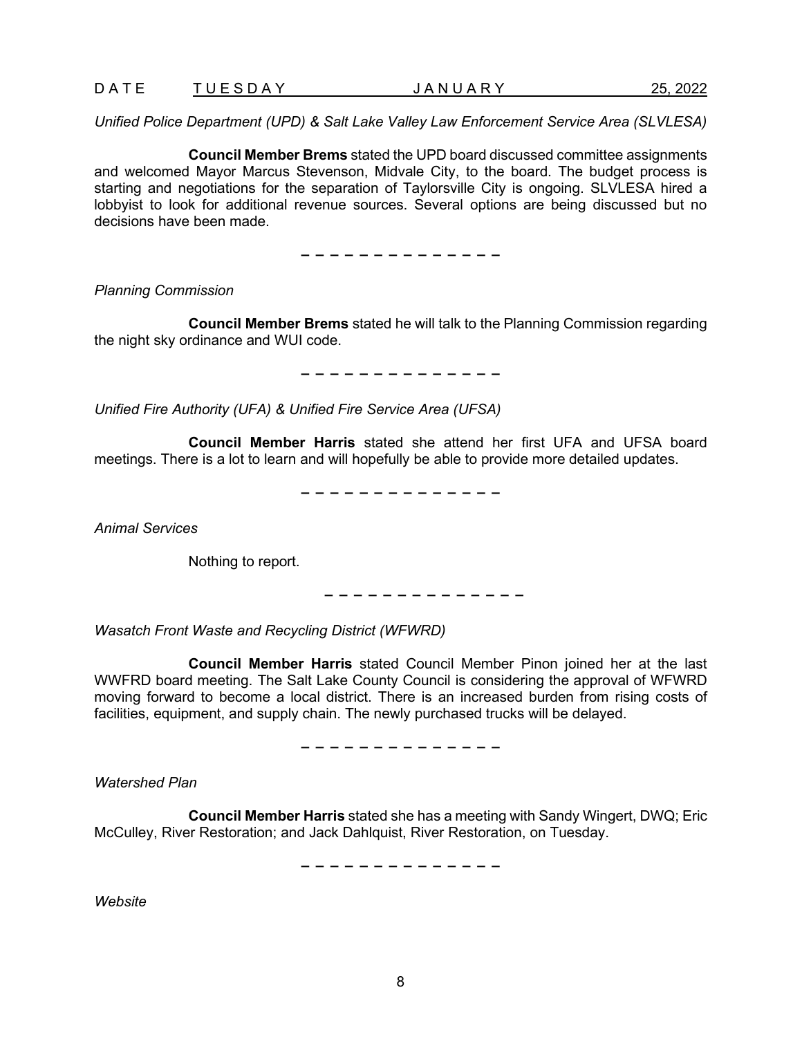### D A T U E S D A Y  $\overline{J}$  A N U A R Y 25, 2022

*Unified Police Department (UPD) & Salt Lake Valley Law Enforcement Service Area (SLVLESA)*

**Council Member Brems** stated the UPD board discussed committee assignments and welcomed Mayor Marcus Stevenson, Midvale City, to the board. The budget process is starting and negotiations for the separation of Taylorsville City is ongoing. SLVLESA hired a lobbyist to look for additional revenue sources. Several options are being discussed but no decisions have been made.

− − − − − − − − − − − − − −

*Planning Commission*

**Council Member Brems** stated he will talk to the Planning Commission regarding the night sky ordinance and WUI code.

− − − − − − − − − − − − − −

*Unified Fire Authority (UFA) & Unified Fire Service Area (UFSA)*

**Council Member Harris** stated she attend her first UFA and UFSA board meetings. There is a lot to learn and will hopefully be able to provide more detailed updates.

− − − − − − − − − − − − − −

*Animal Services*

Nothing to report.

− − − − − − − − − − − − − −

*Wasatch Front Waste and Recycling District (WFWRD)* 

**Council Member Harris** stated Council Member Pinon joined her at the last WWFRD board meeting. The Salt Lake County Council is considering the approval of WFWRD moving forward to become a local district. There is an increased burden from rising costs of facilities, equipment, and supply chain. The newly purchased trucks will be delayed.

− − − − − − − − − − − − − −

*Watershed Plan*

**Council Member Harris** stated she has a meeting with Sandy Wingert, DWQ; Eric McCulley, River Restoration; and Jack Dahlquist, River Restoration, on Tuesday.

− − − − − − − − − − − − − −

*Website*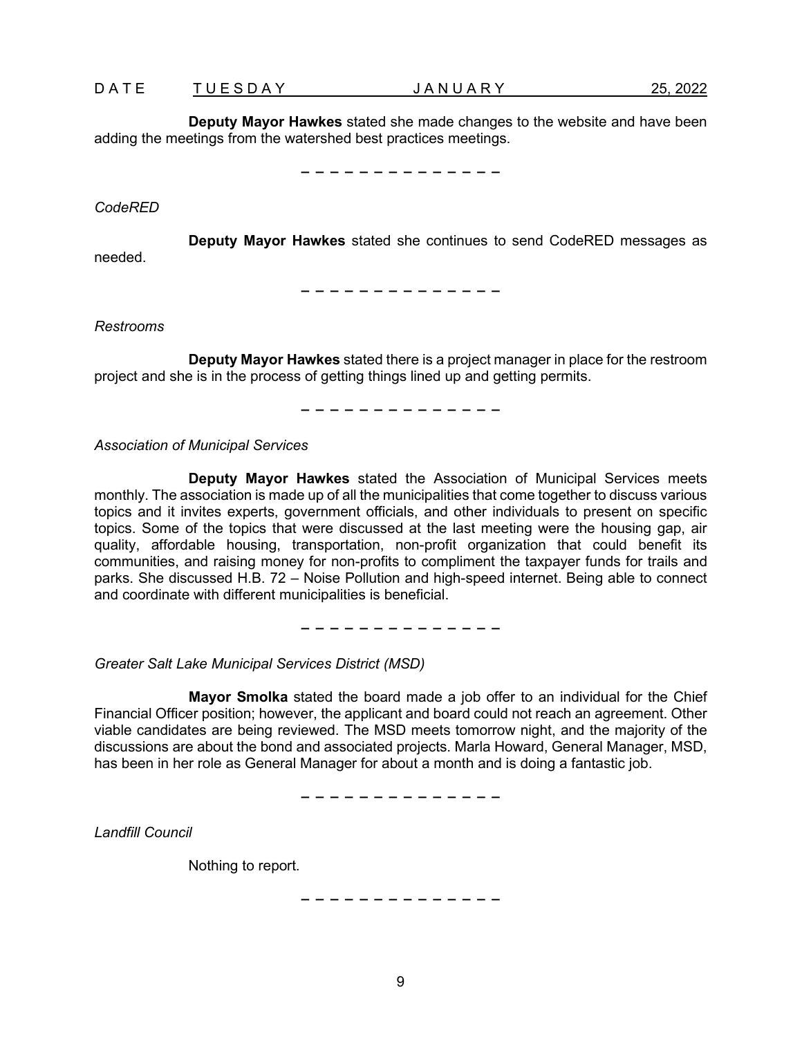**Deputy Mayor Hawkes** stated she made changes to the website and have been adding the meetings from the watershed best practices meetings.

− − − − − − − − − − − − − −

### *CodeRED*

**Deputy Mayor Hawkes** stated she continues to send CodeRED messages as needed.

− − − − − − − − − − − − − −

*Restrooms*

**Deputy Mayor Hawkes** stated there is a project manager in place for the restroom project and she is in the process of getting things lined up and getting permits.

− − − − − − − − − − − − − −

*Association of Municipal Services*

**Deputy Mayor Hawkes** stated the Association of Municipal Services meets monthly. The association is made up of all the municipalities that come together to discuss various topics and it invites experts, government officials, and other individuals to present on specific topics. Some of the topics that were discussed at the last meeting were the housing gap, air quality, affordable housing, transportation, non-profit organization that could benefit its communities, and raising money for non-profits to compliment the taxpayer funds for trails and parks. She discussed H.B. 72 – Noise Pollution and high-speed internet. Being able to connect and coordinate with different municipalities is beneficial.

− − − − − − − − − − − − − −

*Greater Salt Lake Municipal Services District (MSD)* 

**Mayor Smolka** stated the board made a job offer to an individual for the Chief Financial Officer position; however, the applicant and board could not reach an agreement. Other viable candidates are being reviewed. The MSD meets tomorrow night, and the majority of the discussions are about the bond and associated projects. Marla Howard, General Manager, MSD, has been in her role as General Manager for about a month and is doing a fantastic job.

− − − − − − − − − − − − − −

*Landfill Council*

Nothing to report.

− − − − − − − − − − − − − −